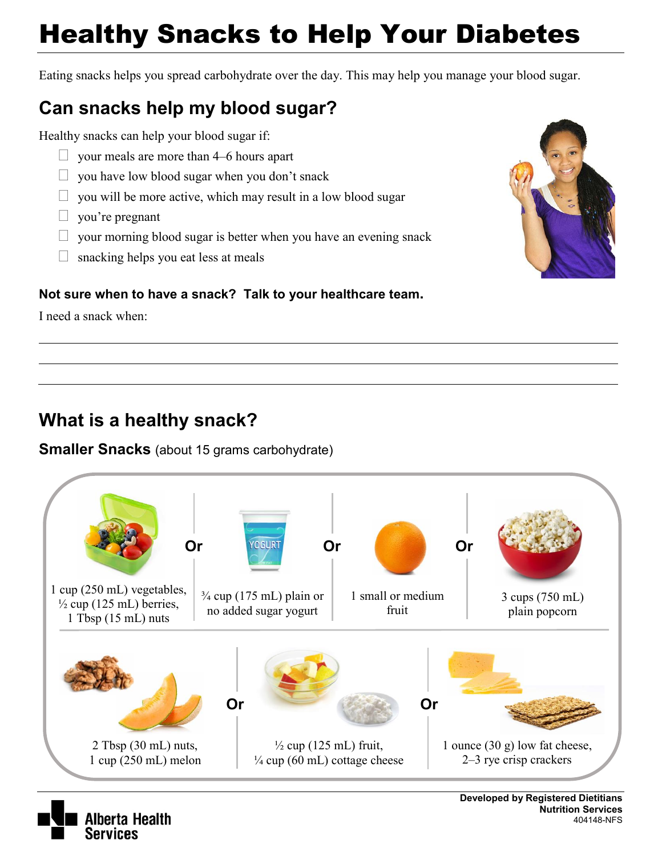# Healthy Snacks to Help Your Diabetes

Eating snacks helps you spread carbohydrate over the day. This may help you manage your blood sugar.

## **Can snacks help my blood sugar?**

Healthy snacks can help your blood sugar if:

- $\Box$  your meals are more than 4–6 hours apart
- $\Box$  you have low blood sugar when you don't snack
- $\Box$  you will be more active, which may result in a low blood sugar
- $\Box$  you're pregnant
- $\Box$  your morning blood sugar is better when you have an evening snack
- $\Box$  snacking helps you eat less at meals

#### **Not sure when to have a snack? Talk to your healthcare team.**

I need a snack when:

## **What is a healthy snack?**

berta Health

Services

#### **Smaller Snacks** (about 15 grams carbohydrate)





 **Nutrition Services**  404148-NFS